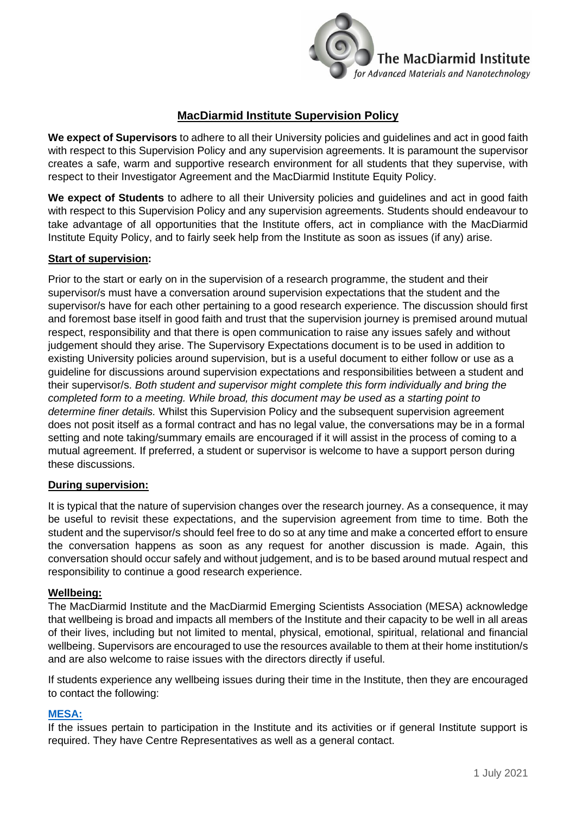

# **MacDiarmid Institute Supervision Policy**

**We expect of Supervisors** to adhere to all their University policies and guidelines and act in good faith with respect to this Supervision Policy and any supervision agreements. It is paramount the supervisor creates a safe, warm and supportive research environment for all students that they supervise, with respect to their Investigator Agreement and the MacDiarmid Institute Equity Policy.

**We expect of Students** to adhere to all their University policies and guidelines and act in good faith with respect to this Supervision Policy and any supervision agreements. Students should endeavour to take advantage of all opportunities that the Institute offers, act in compliance with the MacDiarmid Institute Equity Policy, and to fairly seek help from the Institute as soon as issues (if any) arise.

### **Start of supervision:**

Prior to the start or early on in the supervision of a research programme, the student and their supervisor/s must have a conversation around supervision expectations that the student and the supervisor/s have for each other pertaining to a good research experience. The discussion should first and foremost base itself in good faith and trust that the supervision journey is premised around mutual respect, responsibility and that there is open communication to raise any issues safely and without judgement should they arise. The Supervisory Expectations document is to be used in addition to existing University policies around supervision, but is a useful document to either follow or use as a guideline for discussions around supervision expectations and responsibilities between a student and their supervisor/s. *Both student and supervisor might complete this form individually and bring the completed form to a meeting. While broad, this document may be used as a starting point to determine finer details.* Whilst this Supervision Policy and the subsequent supervision agreement does not posit itself as a formal contract and has no legal value, the conversations may be in a formal setting and note taking/summary emails are encouraged if it will assist in the process of coming to a mutual agreement. If preferred, a student or supervisor is welcome to have a support person during these discussions.

#### **During supervision:**

It is typical that the nature of supervision changes over the research journey. As a consequence, it may be useful to revisit these expectations, and the supervision agreement from time to time. Both the student and the supervisor/s should feel free to do so at any time and make a concerted effort to ensure the conversation happens as soon as any request for another discussion is made. Again, this conversation should occur safely and without judgement, and is to be based around mutual respect and responsibility to continue a good research experience.

### **Wellbeing:**

The MacDiarmid Institute and the MacDiarmid Emerging Scientists Association (MESA) acknowledge that wellbeing is broad and impacts all members of the Institute and their capacity to be well in all areas of their lives, including but not limited to mental, physical, emotional, spiritual, relational and financial wellbeing. Supervisors are encouraged to use the resources available to them at their home institution/s and are also welcome to raise issues with the directors directly if useful.

If students experience any wellbeing issues during their time in the Institute, then they are encouraged to contact the following:

#### **[MESA:](https://www.macdiarmid.ac.nz/our-people/macdiarmid-emerging-scientists-association-mesa/)**

If the issues pertain to participation in the Institute and its activities or if general Institute support is required. They have Centre Representatives as well as a general contact.